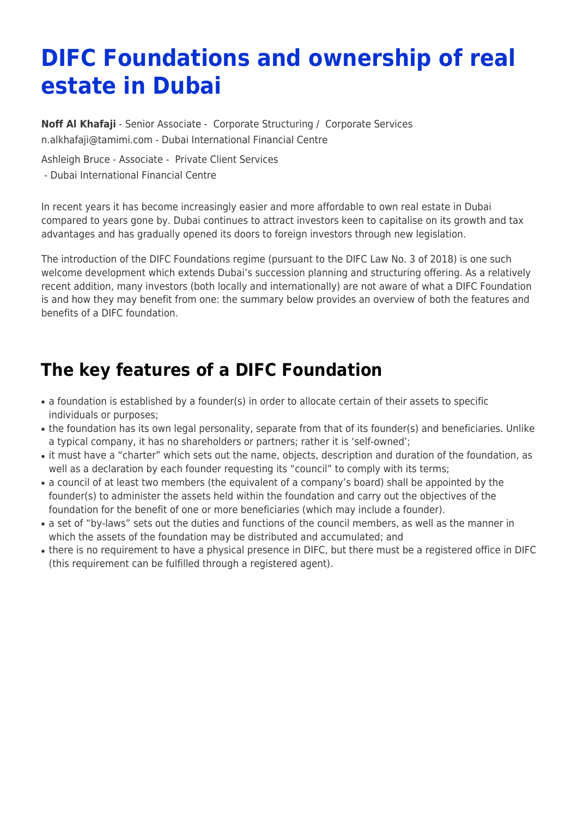# **DIFC Foundations and ownership of real estate in Dubai**

**[Noff Al Khafaji](https://www.tamimi.com/find-a-lawyer/noff-al-khafaji/)** - Senior Associate - [Corporate Structuring](https://www.tamimi.com/client-services/practices/corporate-structuring/) / [Corporate Services](https://www.tamimi.com/client-services/practices/corporate-services/) [n.alkhafaji@tamimi.com](mailto:n.alkhafaji@tamimi.com) - [Dubai International Financial Centre](https://www.tamimi.com/locations/uae/)

Ashleigh Bruce - Associate - [Private Client Services](https://www.tamimi.com/client-services/practices/private-client-services/)

- [Dubai International Financial Centre](https://www.tamimi.com/locations/uae/)

In recent years it has become increasingly easier and more affordable to own real estate in Dubai compared to years gone by. Dubai continues to attract investors keen to capitalise on its growth and tax advantages and has gradually opened its doors to foreign investors through new legislation.

The introduction of the DIFC Foundations regime (pursuant to the DIFC Law No. 3 of 2018) is one such welcome development which extends Dubai's succession planning and structuring offering. As a relatively recent addition, many investors (both locally and internationally) are not aware of what a DIFC Foundation is and how they may benefit from one: the summary below provides an overview of both the features and benefits of a DIFC foundation.

# **The key features of a DIFC Foundation**

- a foundation is established by a founder(s) in order to allocate certain of their assets to specific individuals or purposes;
- the foundation has its own legal personality, separate from that of its founder(s) and beneficiaries. Unlike a typical company, it has no shareholders or partners; rather it is 'self-owned';
- it must have a "charter" which sets out the name, objects, description and duration of the foundation, as well as a declaration by each founder requesting its "council" to comply with its terms;
- a council of at least two members (the equivalent of a company's board) shall be appointed by the founder(s) to administer the assets held within the foundation and carry out the objectives of the foundation for the benefit of one or more beneficiaries (which may include a founder).
- a set of "by-laws" sets out the duties and functions of the council members, as well as the manner in which the assets of the foundation may be distributed and accumulated; and
- there is no requirement to have a physical presence in DIFC, but there must be a registered office in DIFC (this requirement can be fulfilled through a registered agent).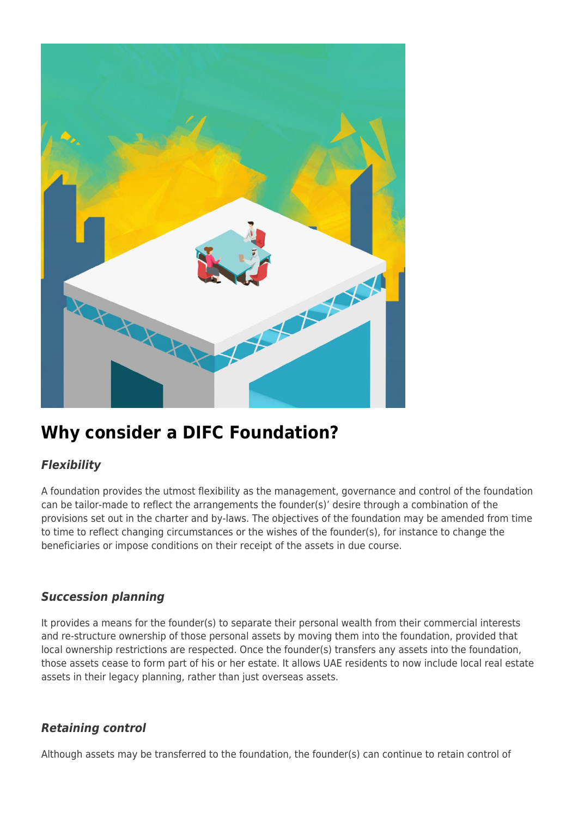

## **Why consider a DIFC Foundation?**

### *Flexibility*

A foundation provides the utmost flexibility as the management, governance and control of the foundation can be tailor-made to reflect the arrangements the founder(s)' desire through a combination of the provisions set out in the charter and by-laws. The objectives of the foundation may be amended from time to time to reflect changing circumstances or the wishes of the founder(s), for instance to change the beneficiaries or impose conditions on their receipt of the assets in due course.

### *Succession planning*

It provides a means for the founder(s) to separate their personal wealth from their commercial interests and re-structure ownership of those personal assets by moving them into the foundation, provided that local ownership restrictions are respected. Once the founder(s) transfers any assets into the foundation, those assets cease to form part of his or her estate. It allows UAE residents to now include local real estate assets in their legacy planning, rather than just overseas assets.

#### *Retaining control*

Although assets may be transferred to the foundation, the founder(s) can continue to retain control of